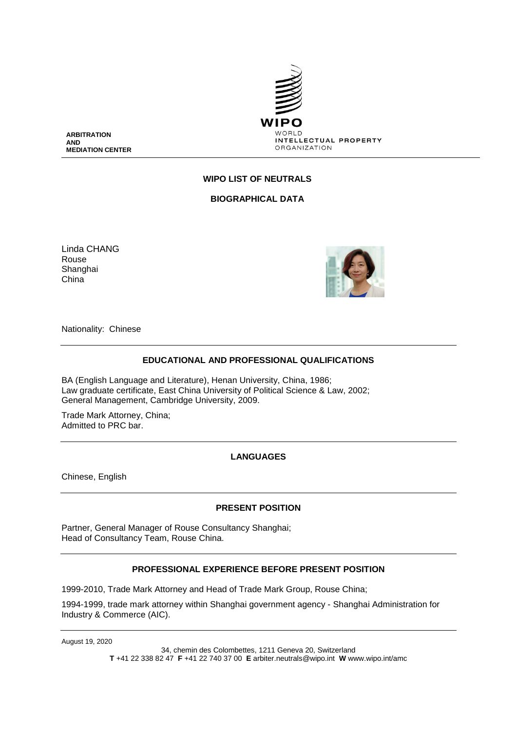

**ARBITRATION AND MEDIATION CENTER**

### **WIPO LIST OF NEUTRALS**

**BIOGRAPHICAL DATA**

Linda CHANG Rouse Shanghai China



Nationality: Chinese

#### **EDUCATIONAL AND PROFESSIONAL QUALIFICATIONS**

BA (English Language and Literature), Henan University, China, 1986; Law graduate certificate, East China University of Political Science & Law, 2002; General Management, Cambridge University, 2009.

Trade Mark Attorney, China; Admitted to PRC bar

**LANGUAGES**

Chinese, English

### **PRESENT POSITION**

Partner, General Manager of Rouse Consultancy Shanghai; Head of Consultancy Team, Rouse China.

### **PROFESSIONAL EXPERIENCE BEFORE PRESENT POSITION**

1999-2010, Trade Mark Attorney and Head of Trade Mark Group, Rouse China;

1994-1999, trade mark attorney within Shanghai government agency - Shanghai Administration for Industry & Commerce (AIC).

August 19, 2020

34, chemin des Colombettes, 1211 Geneva 20, Switzerland **T** +41 22 338 82 47 **F** +41 22 740 37 00 **E** arbiter.neutrals@wipo.int **W** www.wipo.int/amc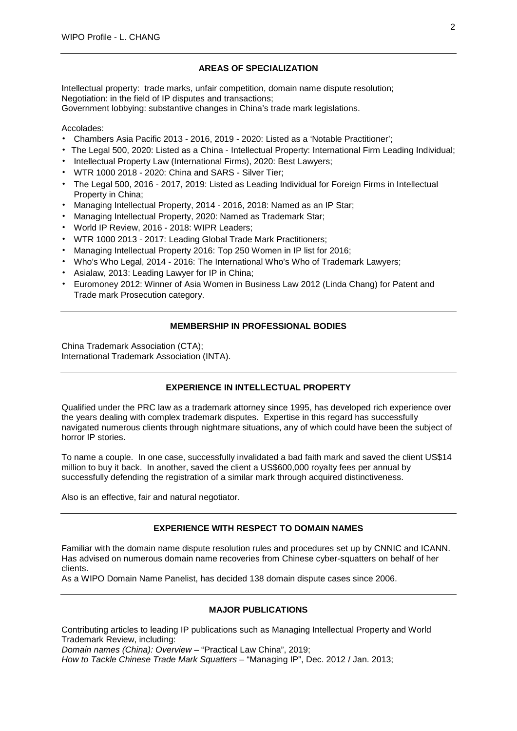### **AREAS OF SPECIALIZATION**

Intellectual property: trade marks, unfair competition, domain name dispute resolution; Negotiation: in the field of IP disputes and transactions; Government lobbying: substantive changes in China's trade mark legislations.

### Accolades:

- Chambers Asia Pacific 2013 2016, 2019 2020: Listed as a 'Notable Practitioner';
- The Legal 500, 2020: Listed as a China Intellectual Property: International Firm Leading Individual;
- Intellectual Property Law (International Firms), 2020: Best Lawyers;
- WTR 1000 2018 2020: China and SARS Silver Tier;
- The Legal 500, 2016 2017, 2019: Listed as Leading Individual for Foreign Firms in Intellectual Property in China;
- Managing Intellectual Property, 2014 2016, 2018: Named as an IP Star;
- Managing Intellectual Property, 2020: Named as Trademark Star;
- World IP Review, 2016 2018: WIPR Leaders;
- WTR 1000 2013 2017: Leading Global Trade Mark Practitioners;
- Managing Intellectual Property 2016: Top 250 Women in IP list for 2016;
- Who's Who Legal, 2014 2016: The International Who's Who of Trademark Lawyers;
- Asialaw, 2013: Leading Lawyer for IP in China;
- Euromoney 2012: Winner of Asia Women in Business Law 2012 (Linda Chang) for Patent and Trade mark Prosecution category.

## **MEMBERSHIP IN PROFESSIONAL BODIES**

China Trademark Association (CTA); International Trademark Association (INTA).

# **EXPERIENCE IN INTELLECTUAL PROPERTY**

Qualified under the PRC law as a trademark attorney since 1995, has developed rich experience over the years dealing with complex trademark disputes. Expertise in this regard has successfully navigated numerous clients through nightmare situations, any of which could have been the subject of horror IP stories.

To name a couple. In one case, successfully invalidated a bad faith mark and saved the client US\$14 million to buy it back. In another, saved the client a US\$600,000 royalty fees per annual by successfully defending the registration of a similar mark through acquired distinctiveness.

Also is an effective, fair and natural negotiator.

### **EXPERIENCE WITH RESPECT TO DOMAIN NAMES**

Familiar with the domain name dispute resolution rules and procedures set up by CNNIC and ICANN. Has advised on numerous domain name recoveries from Chinese cyber-squatters on behalf of her clients.

As a WIPO Domain Name Panelist, has decided 138 domain dispute cases since 2006.

### **MAJOR PUBLICATIONS**

Contributing articles to leading IP publications such as Managing Intellectual Property and World Trademark Review, including:

*Domain names (China): Overview* – "Practical Law China", 2019;

*How to Tackle Chinese Trade Mark Squatters* – "Managing IP", Dec. 2012 / Jan. 2013;